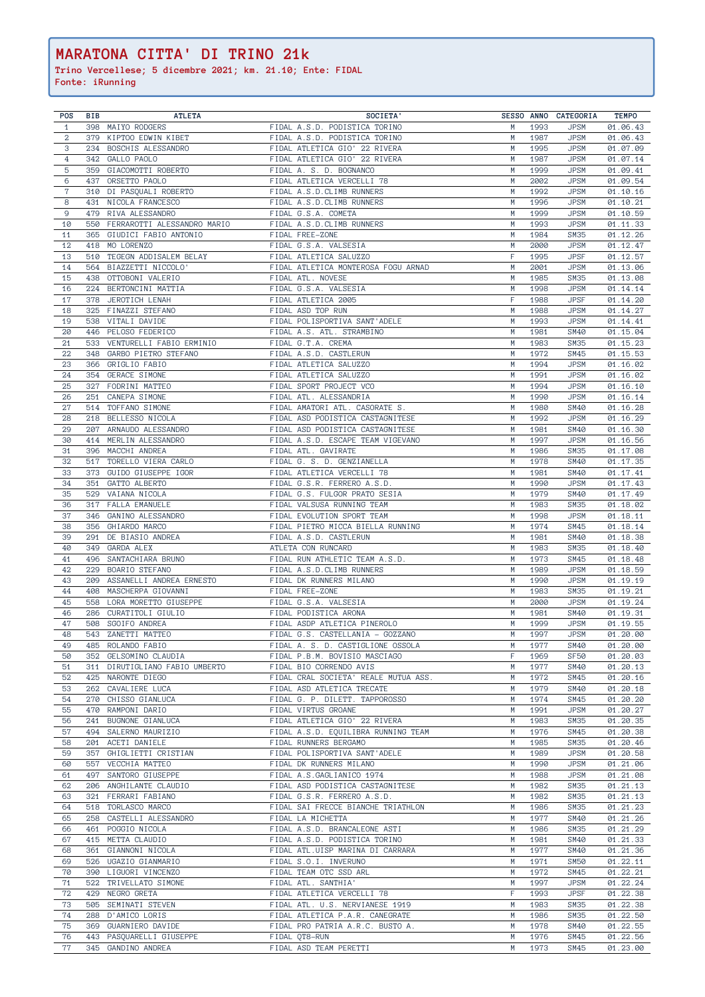| <b>POS</b>     | BIB | <b>ATLETA</b>                  | SOCIETA'                             |   |      | SESSO ANNO CATEGORIA | <b>TEMPO</b> |
|----------------|-----|--------------------------------|--------------------------------------|---|------|----------------------|--------------|
| $\mathbf{1}$   |     | 398 MAIYO RODGERS              | FIDAL A.S.D. PODISTICA TORINO        | M | 1993 | <b>JPSM</b>          | 01.06.43     |
| $\overline{2}$ | 379 | KIPTOO EDWIN KIBET             | FIDAL A.S.D. PODISTICA TORINO        | M | 1987 | <b>JPSM</b>          | 01.06.43     |
| 3              | 234 | BOSCHIS ALESSANDRO             | FIDAL ATLETICA GIO' 22 RIVERA        | M | 1995 | <b>JPSM</b>          | 01.07.09     |
| $\overline{4}$ |     | 342 GALLO PAOLO                | FIDAL ATLETICA GIO' 22 RIVERA        | M | 1987 | <b>JPSM</b>          | 01.07.14     |
| $\overline{5}$ | 359 | GIACOMOTTI ROBERTO             | FIDAL A. S. D. BOGNANCO              | M | 1999 | <b>JPSM</b>          | 01.09.41     |
| 6              |     |                                |                                      |   |      |                      |              |
|                |     | 437 ORSETTO PAOLO              | FIDAL ATLETICA VERCELLI 78           | M | 2002 | <b>JPSM</b>          | 01.09.54     |
| $\mathbf 7$    | 310 | DI PASQUALI ROBERTO            | FIDAL A.S.D.CLIMB RUNNERS            | M | 1992 | <b>JPSM</b>          | 01.10.16     |
| 8              |     | 431 NICOLA FRANCESCO           | FIDAL A.S.D.CLIMB RUNNERS            | M | 1996 | <b>JPSM</b>          | 01.10.21     |
| $\mathsf 9$    | 479 | RIVA ALESSANDRO                | FIDAL G.S.A. COMETA                  | M | 1999 | <b>JPSM</b>          | 01.10.59     |
| 10             | 550 | FERRAROTTI ALESSANDRO MARIO    | FIDAL A.S.D.CLIMB RUNNERS            | M | 1993 | <b>JPSM</b>          | 01.11.33     |
| 11             | 365 | GIUDICI FABIO ANTONIO          | FIDAL FREE-ZONE                      | M | 1984 | <b>SM35</b>          | 01.12.26     |
| 12             |     | 418 MO LORENZO                 | FIDAL G.S.A. VALSESIA                | M | 2000 | <b>JPSM</b>          | 01.12.47     |
| 13             |     | 510 TEGEGN ADDISALEM BELAY     | FIDAL ATLETICA SALUZZO               | F | 1995 | <b>JPSF</b>          | 01.12.57     |
|                |     |                                |                                      |   |      |                      |              |
| 14             |     | 564 BIAZZETTI NICCOLO'         | FIDAL ATLETICA MONTEROSA FOGU ARNAD  | M | 2001 | <b>JPSM</b>          | 01.13.06     |
| 15             |     | 438 OTTOBONI VALERIO           | FIDAL ATL. NOVESE                    | M | 1985 | <b>SM35</b>          | 01.13.08     |
| 16             |     | 224 BERTONCINI MATTIA          | FIDAL G.S.A. VALSESIA                | M | 1998 | <b>JPSM</b>          | 01.14.14     |
| 17             | 378 | JEROTICH LENAH                 | FIDAL ATLETICA 2005                  | F | 1988 | <b>JPSF</b>          | 01.14.20     |
| 18             | 325 | FINAZZI STEFANO                | FIDAL ASD TOP RUN                    | M | 1988 | <b>JPSM</b>          | 01.14.27     |
| 19             |     | 538 VITALI DAVIDE              | FIDAL POLISPORTIVA SANT'ADELE        | M | 1993 | <b>JPSM</b>          | 01.14.41     |
| 20             |     | 446 PELOSO FEDERICO            | FIDAL A.S. ATL. STRAMBINO            | M | 1981 | SM40                 | 01.15.04     |
| 21             |     | 533 VENTURELLI FABIO ERMINIO   | FIDAL G.T.A. CREMA                   | M | 1983 | <b>SM35</b>          | 01.15.23     |
|                |     |                                |                                      |   |      |                      |              |
| 22             |     | 348 GARBO PIETRO STEFANO       | FIDAL A.S.D. CASTLERUN               | M | 1972 | SM45                 | 01.15.53     |
| 23             |     | 366 GRIGLIO FABIO              | FIDAL ATLETICA SALUZZO               | M | 1994 | <b>JPSM</b>          | 01.16.02     |
| 24             |     | 354 GERACE SIMONE              | FIDAL ATLETICA SALUZZO               | M | 1991 | <b>JPSM</b>          | 01.16.02     |
| 25             |     | 327 FODRINI MATTEO             | FIDAL SPORT PROJECT VCO              | M | 1994 | <b>JPSM</b>          | 01.16.10     |
| 26             |     | 251 CANEPA SIMONE              | FIDAL ATL. ALESSANDRIA               | M | 1990 | <b>JPSM</b>          | 01.16.14     |
| 27             |     | 514 TOFFANO SIMONE             | FIDAL AMATORI ATL. CASORATE S.       | M | 1980 | <b>SM40</b>          | 01.16.28     |
| 28             | 218 | BELLESSO NICOLA                | FIDAL ASD PODISTICA CASTAGNITESE     | M | 1992 | <b>JPSM</b>          | 01.16.29     |
|                |     |                                |                                      |   |      |                      |              |
| 29             | 207 | ARNAUDO ALESSANDRO             | FIDAL ASD PODISTICA CASTAGNITESE     | M | 1981 | SM40                 | 01.16.30     |
| 30             |     | 414 MERLIN ALESSANDRO          | FIDAL A.S.D. ESCAPE TEAM VIGEVANO    | M | 1997 | <b>JPSM</b>          | 01.16.56     |
| 31             |     | 396 MACCHI ANDREA              | FIDAL ATL. GAVIRATE                  | M | 1986 | <b>SM35</b>          | 01.17.08     |
| 32             |     | 517 TORELLO VIERA CARLO        | FIDAL G. S. D. GENZIANELLA           | M | 1978 | <b>SM40</b>          | 01.17.35     |
| 33             |     | 373 GUIDO GIUSEPPE IGOR        | FIDAL ATLETICA VERCELLI 78           | M | 1981 | <b>SM40</b>          | 01.17.41     |
| 34             |     | 351 GATTO ALBERTO              | FIDAL G.S.R. FERRERO A.S.D.          |   | 1990 | <b>JPSM</b>          | 01.17.43     |
| 35             |     | 529 VAIANA NICOLA              | FIDAL G.S. FULGOR PRATO SESIA        | M | 1979 | SM40                 | 01.17.49     |
|                |     |                                |                                      |   |      |                      |              |
| 36             |     | 317 FALLA EMANUELE             | FIDAL VALSUSA RUNNING TEAM           | M | 1983 | SM35                 | 01.18.02     |
| 37             | 346 | GANINO ALESSANDRO              | FIDAL EVOLUTION SPORT TEAM           | M | 1998 | <b>JPSM</b>          | 01.18.11     |
| 38             |     | 356 GHIARDO MARCO              | FIDAL PIETRO MICCA BIELLA RUNNING    | M | 1974 | SM45                 | 01.18.14     |
| 39             |     | 291 DE BIASIO ANDREA           | FIDAL A.S.D. CASTLERUN               | M | 1981 | <b>SM40</b>          | 01.18.38     |
| 40             | 349 | GARDA ALEX                     | ATLETA CON RUNCARD                   | M | 1983 | <b>SM35</b>          | 01.18.40     |
| 41             |     | 496 SANTACHIARA BRUNO          | FIDAL RUN ATHLETIC TEAM A.S.D.       | M | 1973 | SM45                 | 01.18.48     |
| 42             | 229 | BOARIO STEFANO                 | FIDAL A.S.D.CLIMB RUNNERS            | M | 1989 | <b>JPSM</b>          | 01.18.59     |
| 43             | 209 | ASSANELLI ANDREA ERNESTO       | FIDAL DK RUNNERS MILANO              | M | 1990 | <b>JPSM</b>          | 01.19.19     |
|                |     |                                |                                      |   |      |                      |              |
| 44             | 408 | MASCHERPA GIOVANNI             | FIDAL FREE-ZONE                      | M | 1983 | <b>SM35</b>          | 01.19.21     |
| 45             | 558 | LORA MORETTO GIUSEPPE          | FIDAL G.S.A. VALSESIA                | M | 2000 | <b>JPSM</b>          | 01.19.24     |
| 46             | 286 | CURATITOLI GIULIO              | FIDAL PODISTICA ARONA                | M | 1981 | <b>SM40</b>          | 01.19.31     |
| 47             |     | 508 SGOIFO ANDREA              | FIDAL ASDP ATLETICA PINEROLO         | M | 1999 | <b>JPSM</b>          | 01.19.55     |
| 48             |     | 543 ZANETTI MATTEO             | FIDAL G.S. CASTELLANIA - GOZZANO     | M | 1997 | <b>JPSM</b>          | 01.20.00     |
| 49             | 485 | ROLANDO FABIO                  | FIDAL A. S. D. CASTIGLIONE OSSOLA    | M | 1977 | SM40                 | 01.20.00     |
| 50             |     | 352 GELSOMINO CLAUDIA          | FIDAL P.B.M. BOVISIO MASCIAGO        | F | 1969 | <b>SF50</b>          | 01.20.03     |
| 51             |     | 311 DIRUTIGLIANO FABIO UMBERTO | FIDAL BIO CORRENDO AVIS              | M | 1977 | <b>SM40</b>          | 01.20.13     |
|                |     |                                |                                      |   |      |                      |              |
| 52             |     | 425 NARONTE DIEGO              | FIDAL CRAL SOCIETA' REALE MUTUA ASS. | M | 1972 | SM45                 | 01.20.16     |
| 53             |     | 262 CAVALIERE LUCA             | FIDAL ASD ATLETICA TRECATE           | M | 1979 | SM40                 | 01.20.18     |
| 54             |     | 270 CHISSO GIANLUCA            | FIDAL G. P. DILETT. TAPPOROSSO       | M | 1974 | SM45                 | 01.20.20     |
| 55             | 470 | RAMPONI DARIO                  | FIDAL VIRTUS GROANE                  | M | 1991 | <b>JPSM</b>          | 01.20.27     |
| 56             | 241 | BUGNONE GIANLUCA               | FIDAL ATLETICA GIO' 22 RIVERA        | M | 1983 | <b>SM35</b>          | 01.20.35     |
| 57             |     | 494 SALERNO MAURIZIO           | FIDAL A.S.D. EQUILIBRA RUNNING TEAM  | M | 1976 | SM45                 | 01.20.38     |
| 58             |     | 201 ACETI DANIELE              | FIDAL RUNNERS BERGAMO                | M | 1985 | <b>SM35</b>          | 01.20.46     |
| 59             |     | 357 GHIGLIETTI CRISTIAN        | FIDAL POLISPORTIVA SANT'ADELE        | M | 1989 | <b>JPSM</b>          | 01.20.58     |
|                |     | 557 VECCHIA MATTEO             | FIDAL DK RUNNERS MILANO              |   |      | <b>JPSM</b>          |              |
| 60             |     |                                |                                      | M | 1990 |                      | 01.21.06     |
| 61             |     | 497 SANTORO GIUSEPPE           | FIDAL A.S.GAGLIANICO 1974            | M | 1988 | <b>JPSM</b>          | 01.21.08     |
| 62             |     | 206 ANGHILANTE CLAUDIO         | FIDAL ASD PODISTICA CASTAGNITESE     | M | 1982 | <b>SM35</b>          | 01.21.13     |
| 63             |     | 321 FERRARI FABIANO            | FIDAL G.S.R. FERRERO A.S.D.          | M | 1982 | <b>SM35</b>          | 01.21.13     |
| 64             |     | 518 TORLASCO MARCO             | FIDAL SAI FRECCE BIANCHE TRIATHLON   | M | 1986 | SM35                 | 01.21.23     |
| 65             |     | 258 CASTELLI ALESSANDRO        | FIDAL LA MICHETTA                    | M | 1977 | <b>SM40</b>          | 01.21.26     |
| 66             |     | 461 POGGIO NICOLA              | FIDAL A.S.D. BRANCALEONE ASTI        | M | 1986 | <b>SM35</b>          | 01.21.29     |
| 67             |     | 415 METTA CLAUDIO              | FIDAL A.S.D. PODISTICA TORINO        | M | 1981 | <b>SM40</b>          | 01.21.33     |
|                |     |                                |                                      |   |      |                      |              |
| 68             |     | 361 GIANNONI NICOLA            | FIDAL ATL.UISP MARINA DI CARRARA     | M | 1977 | <b>SM40</b>          | 01.21.36     |
| 69             | 526 | UGAZIO GIANMARIO               | FIDAL S.O.I. INVERUNO                | M | 1971 | <b>SM50</b>          | 01.22.11     |
| 70             | 390 | LIGUORI VINCENZO               | FIDAL TEAM OTC SSD ARL               | M | 1972 | SM45                 | 01.22.21     |
| 71             | 522 | TRIVELLATO SIMONE              | FIDAL ATL. SANTHIA'                  | M | 1997 | <b>JPSM</b>          | 01.22.24     |
| 72             | 429 | NEGRO GRETA                    | FIDAL ATLETICA VERCELLI 78           | F | 1993 | <b>JPSF</b>          | 01.22.38     |
| 73             | 505 | SEMINATI STEVEN                | FIDAL ATL. U.S. NERVIANESE 1919      | M | 1983 | SM35                 | 01.22.38     |
| 74             | 288 | D'AMICO LORIS                  | FIDAL ATLETICA P.A.R. CANEGRATE      | M | 1986 | <b>SM35</b>          | 01.22.50     |
| 75             |     |                                |                                      |   |      |                      |              |
|                | 369 | GUARNIERO DAVIDE               | FIDAL PRO PATRIA A.R.C. BUSTO A.     | M | 1978 | <b>SM40</b>          | 01.22.55     |
| 76             | 443 | PASQUARELLI GIUSEPPE           | FIDAL QT8-RUN                        | M | 1976 | <b>SM45</b>          | 01.22.56     |
| 77             |     | 345 GANDINO ANDREA             | FIDAL ASD TEAM PERETTI               | M | 1973 | <b>SM45</b>          | 01.23.00     |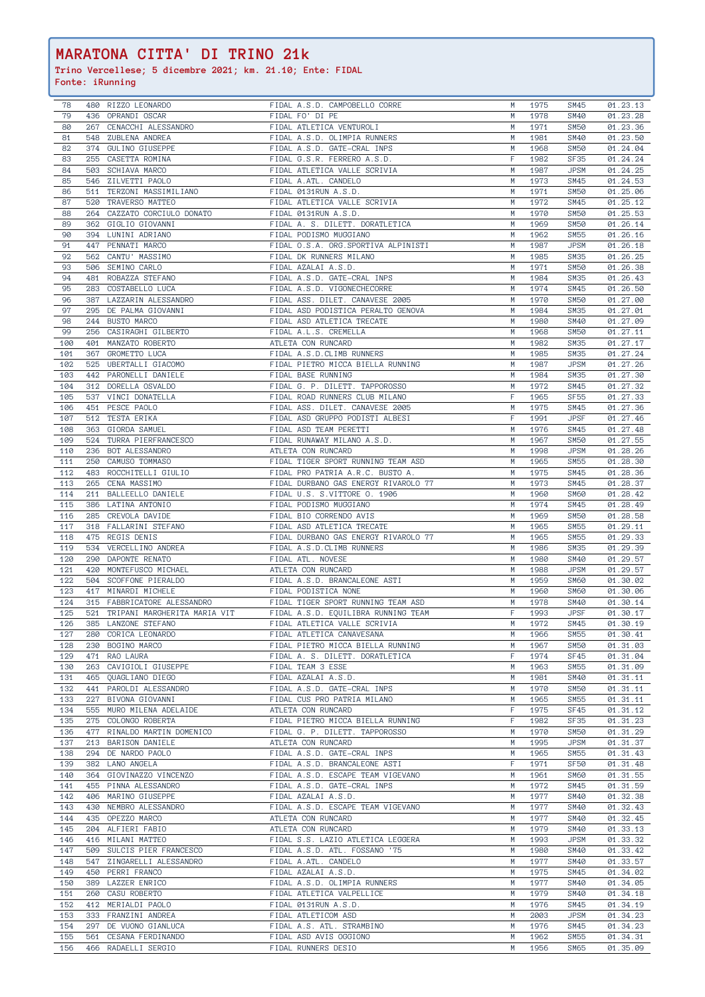| 78         |     | 480 RIZZO LEONARDO                       | FIDAL A.S.D. CAMPOBELLO CORRE                 | M      | 1975         | SM45                | 01.23.13             |
|------------|-----|------------------------------------------|-----------------------------------------------|--------|--------------|---------------------|----------------------|
| 79         |     | 436 OPRANDI OSCAR                        | FIDAL FO' DI PE                               | M      | 1978         | <b>SM40</b>         | 01.23.28             |
| 80         |     | 267 CENACCHI ALESSANDRO                  | FIDAL ATLETICA VENTUROLI                      | M      | 1971         | <b>SM50</b>         | 01.23.36             |
| 81         |     | 548 ZUBLENA ANDREA                       | FIDAL A.S.D. OLIMPIA RUNNERS                  | M      | 1981         | SM40                | 01.23.50             |
| 82         |     | 374 GULINO GIUSEPPE                      | FIDAL A.S.D. GATE-CRAL INPS                   | M      | 1968         | <b>SM50</b>         | 01.24.04             |
| 83         | 255 | CASETTA ROMINA                           | FIDAL G.S.R. FERRERO A.S.D.                   | F      | 1982         | <b>SF35</b>         | 01.24.24             |
| 84         |     | 503 SCHIAVA MARCO                        | FIDAL ATLETICA VALLE SCRIVIA                  | M      | 1987         | JPSM                | 01.24.25             |
|            |     |                                          |                                               |        |              |                     |                      |
| 85         |     | 546 ZILVETTI PAOLO                       | FIDAL A.ATL. CANDELO                          | M      | 1973         | SM45                | 01.24.53             |
| 86         |     | 511 TERZONI MASSIMILIANO                 | FIDAL 0131RUN A.S.D.                          | M      | 1971         | <b>SM50</b>         | 01.25.06             |
| 87         |     | 520 TRAVERSO MATTEO                      | FIDAL ATLETICA VALLE SCRIVIA                  | M      | 1972         | SM45                | 01.25.12             |
| 88         |     | 264 CAZZATO CORCIULO DONATO              | FIDAL 0131RUN A.S.D.                          | M      | 1970         | <b>SM50</b>         | 01.25.53             |
| 89         |     | 362 GIGLIO GIOVANNI                      | FIDAL A. S. DILETT. DORATLETICA               | M      | 1969         | <b>SM50</b>         | 01.26.14             |
| 90         |     | 394 LUNINI ADRIANO                       | FIDAL PODISMO MUGGIANO                        | M      | 1962         | SM55                | 01.26.16             |
| 91         |     | 447 PENNATI MARCO                        | FIDAL O.S.A. ORG.SPORTIVA ALPINISTI           | M      | 1987         | <b>JPSM</b>         | 01.26.18             |
| 92         | 562 | CANTU' MASSIMO                           | FIDAL DK RUNNERS MILANO                       | M      | 1985         | SM35                | 01.26.25             |
|            |     |                                          |                                               |        |              |                     |                      |
| 93         |     | 506 SEMINO CARLO                         | FIDAL AZALAI A.S.D.                           | M      | 1971         | SM50                | 01.26.38             |
| 94         | 481 | ROBAZZA STEFANO                          | FIDAL A.S.D. GATE-CRAL INPS                   | M      | 1984         | <b>SM35</b>         | 01.26.43             |
| 95         |     | 283 COSTABELLO LUCA                      | FIDAL A.S.D. VIGONECHECORRE                   | M      | 1974         | SM45                | 01.26.50             |
| 96         |     | 387 LAZZARIN ALESSANDRO                  | FIDAL ASS. DILET. CANAVESE 2005               | M      | 1970         | <b>SM50</b>         | 01.27.00             |
| 97         | 295 | DE PALMA GIOVANNI                        | FIDAL ASD PODISTICA PERALTO GENOVA            | M      | 1984         | <b>SM35</b>         | 01.27.01             |
| 98         |     | 244 BUSTO MARCO                          | FIDAL ASD ATLETICA TRECATE                    | M      | 1980         | <b>SM40</b>         | 01.27.09             |
| 99         | 256 | CASIRAGHI GILBERTO                       | FIDAL A.L.S. CREMELLA                         | M      | 1968         | <b>SM50</b>         | 01.27.11             |
| 100        |     | 401 MANZATO ROBERTO                      | ATLETA CON RUNCARD                            | M      | 1982         | <b>SM35</b>         | 01.27.17             |
|            |     |                                          |                                               |        |              |                     |                      |
| 101        |     | 367 GROMETTO LUCA                        | FIDAL A.S.D.CLIMB RUNNERS                     | M      | 1985         | <b>SM35</b>         | 01.27.24             |
| 102        |     | 525 UBERTALLI GIACOMO                    | FIDAL PIETRO MICCA BIELLA RUNNING             | M      | 1987         | <b>JPSM</b>         | 01.27.26             |
| 103        |     | 442 PARONELLI DANIELE                    | FIDAL BASE RUNNING                            | M      | 1984         | <b>SM35</b>         | 01.27.30             |
| 104        |     | 312 DORELLA OSVALDO                      | FIDAL G. P. DILETT. TAPPOROSSO                | M      | 1972         | SM45                | 01.27.32             |
| 105        |     | 537 VINCI DONATELLA                      | FIDAL ROAD RUNNERS CLUB MILANO                | F      | 1965         | <b>SF55</b>         | 01.27.33             |
| 106        |     | 451 PESCE PAOLO                          | FIDAL ASS. DILET. CANAVESE 2005               | M      | 1975         | SM45                | 01.27.36             |
| 107        |     | 512 TESTA ERIKA                          | FIDAL ASD GRUPPO PODISTI ALBESI               | F      | 1991         | <b>JPSF</b>         | 01.27.46             |
| 108        |     | 363 GIORDA SAMUEL                        | FIDAL ASD TEAM PERETTI                        | M      | 1976         | SM45                | 01.27.48             |
|            |     |                                          |                                               |        |              |                     |                      |
| 109        |     | 524 TURRA PIERFRANCESCO                  | FIDAL RUNAWAY MILANO A.S.D.                   | M      | 1967         | <b>SM50</b>         | 01.27.55             |
| 110        |     | 236 BOT ALESSANDRO                       | ATLETA CON RUNCARD                            | M      | 1998         | <b>JPSM</b>         | 01.28.26             |
| 111        |     | 250 CAMUSO TOMMASO                       | FIDAL TIGER SPORT RUNNING TEAM ASD            | M      | 1965         | SM55                | 01.28.30             |
| 112        |     | 483 ROCCHITELLI GIULIO                   | FIDAL PRO PATRIA A.R.C. BUSTO A.              | M      | 1975         | SM45                | 01.28.36             |
| 113        |     | 265 CENA MASSIMO                         | FIDAL DURBANO GAS ENERGY RIVAROLO 77          | M      | 1973         | SM45                | 01.28.37             |
| 114        |     | 211 BALLEELLO DANIELE                    | FIDAL U.S. S.VITTORE O. 1906                  | M      | 1960         | SM60                | 01.28.42             |
| 115        | 386 | LATINA ANTONIO                           | FIDAL PODISMO MUGGIANO                        | M      | 1974         | SM45                | 01.28.49             |
| 116        | 285 | CREVOLA DAVIDE                           | FIDAL BIO CORRENDO AVIS                       | M      | 1969         | SM50                | 01.28.58             |
| 117        |     |                                          |                                               |        |              |                     |                      |
|            |     | 318 FALLARINI STEFANO                    | FIDAL ASD ATLETICA TRECATE                    | M      | 1965         | SM55                | 01.29.11             |
| 118        |     | 475 REGIS DENIS                          | FIDAL DURBANO GAS ENERGY RIVAROLO 77          | M      | 1965         | <b>SM55</b>         | 01.29.33             |
| 119        |     | 534 VERCELLINO ANDREA                    | FIDAL A.S.D.CLIMB RUNNERS                     | M      | 1986         | <b>SM35</b>         | 01.29.39             |
| 120        |     | 290 DAPONTE RENATO                       | FIDAL ATL. NOVESE                             | M      | 1980         | SM40                | 01.29.57             |
|            |     | 420 MONTEFUSCO MICHAEL                   | ATLETA CON RUNCARD                            | M      | 1988         | <b>JPSM</b>         | 01.29.57             |
| 121        |     |                                          |                                               |        |              |                     |                      |
|            |     |                                          |                                               | M      | 1959         | SM60                |                      |
| 122        |     | 504 SCOFFONE PIERALDO                    | FIDAL A.S.D. BRANCALEONE ASTI                 |        |              |                     | 01.30.02             |
| 123        |     | 417 MINARDI MICHELE                      | FIDAL PODISTICA NONE                          | M      | 1960         | SM60                | 01.30.06             |
| 124        |     | 315 FABBRICATORE ALESSANDRO              | FIDAL TIGER SPORT RUNNING TEAM ASD            | M      | 1978         | SM40                | 01.30.14             |
| 125        |     | 521 TRIPANI MARGHERITA MARIA VIT         | FIDAL A.S.D. EQUILIBRA RUNNING TEAM           | F      | 1993         | <b>JPSF</b>         | 01.30.17             |
| 126        | 385 | LANZONE STEFANO                          | FIDAL ATLETICA VALLE SCRIVIA                  | M      | 1972         | SM45                | 01.30.19             |
| 127        | 280 | CORICA LEONARDO                          | FIDAL ATLETICA CANAVESANA                     | M      | 1966         | SM55                | 01.30.41             |
| 128        | 230 | BOGINO MARCO                             | FIDAL PIETRO MICCA BIELLA RUNNING             | M      | 1967         | <b>SM50</b>         | 01.31.03             |
| 129        | 471 | RAO LAURA                                | FIDAL A. S. DILETT. DORATLETICA               | F      | 1974         | SF45                | 01.31.04             |
| 130        |     | 263 CAVIGIOLI GIUSEPPE                   | FIDAL TEAM 3 ESSE                             | M      | 1963         | SM55                |                      |
| 131        |     | 465 QUAGLIANO DIEGO                      | FIDAL AZALAI A.S.D.                           | M      | 1981         | SM40                | 01.31.09             |
|            |     |                                          |                                               | M      |              |                     | 01.31.11             |
| 132        |     | 441 PAROLDI ALESSANDRO                   | FIDAL A.S.D. GATE-CRAL INPS                   |        | 1970         | SM50                | 01.31.11             |
| 133        |     | 227 BIVONA GIOVANNI                      | FIDAL CUS PRO PATRIA MILANO                   | M      | 1965         | SM55                | 01.31.11             |
| 134        | 555 | MURO MILENA ADELAIDE                     | ATLETA CON RUNCARD                            | F      | 1975         | SF45                | 01.31.12             |
| 135        | 275 | COLONGO ROBERTA                          | FIDAL PIETRO MICCA BIELLA RUNNING             | F      | 1982         | <b>SF35</b>         | 01.31.23             |
| 136        |     | 477 RINALDO MARTIN DOMENICO              | FIDAL G. P. DILETT. TAPPOROSSO                | M      | 1970         | SM50                | 01.31.29             |
| 137        |     | 213 BARISON DANIELE                      | ATLETA CON RUNCARD                            | M      | 1995         | <b>JPSM</b>         | 01.31.37             |
| 138        |     | 294 DE NARDO PAOLO                       | FIDAL A.S.D. GATE-CRAL INPS                   | M      | 1965         | SM55                | 01.31.43             |
| 139        |     | 382 LANO ANGELA                          | FIDAL A.S.D. BRANCALEONE ASTI                 | F      | 1971         | SF50                | 01.31.48             |
| 140        |     | 364 GIOVINAZZO VINCENZO                  | FIDAL A.S.D. ESCAPE TEAM VIGEVANO             | M      | 1961         | SM60                | 01.31.55             |
|            |     |                                          |                                               | M      |              |                     |                      |
| 141        |     | 455 PINNA ALESSANDRO                     | FIDAL A.S.D. GATE-CRAL INPS                   |        | 1972         | <b>SM45</b>         | 01.31.59             |
| 142        |     | 406 MARINO GIUSEPPE                      | FIDAL AZALAI A.S.D.                           | M      | 1977         | SM40                | 01.32.38             |
| 143        |     | 430 NEMBRO ALESSANDRO                    | FIDAL A.S.D. ESCAPE TEAM VIGEVANO             | M      | 1977         | SM40                | 01.32.43             |
| 144        |     | 435 OPEZZO MARCO                         | ATLETA CON RUNCARD                            | M      | 1977         | SM40                | 01.32.45             |
| 145        |     | 204 ALFIERI FABIO                        | ATLETA CON RUNCARD                            | M      | 1979         | SM40                | 01.33.13             |
| 146        |     | 416 MILANI MATTEO                        | FIDAL S.S. LAZIO ATLETICA LEGGERA             | M      | 1993         | <b>JPSM</b>         | 01.33.32             |
| 147        |     | 509 SULCIS PIER FRANCESCO                | FIDAL A.S.D. ATL. FOSSANO '75                 | M      | 1980         | SM40                | 01.33.42             |
| 148        | 547 | ZINGARELLI ALESSANDRO                    | FIDAL A.ATL. CANDELO                          | M      | 1977         | SM40                | 01.33.57             |
| 149        | 450 | PERRI FRANCO                             | FIDAL AZALAI A.S.D.                           | M      | 1975         | SM45                | 01.34.02             |
|            | 389 |                                          |                                               | M      | 1977         | SM40                | 01.34.05             |
| 150        |     | LAZZER ENRICO                            | FIDAL A.S.D. OLIMPIA RUNNERS                  |        |              |                     |                      |
| 151        | 260 | CASU ROBERTO                             | FIDAL ATLETICA VALPELLICE                     | M      | 1979         | SM40                | 01.34.18             |
| 152        | 412 | MERIALDI PAOLO                           | FIDAL 0131RUN A.S.D.                          | M      | 1976         | SM45                | 01.34.19             |
| 153        | 333 | FRANZINI ANDREA                          | FIDAL ATLETICOM ASD                           | M      | 2003         | <b>JPSM</b>         | 01.34.23             |
| 154        | 297 | DE VUONO GIANLUCA                        | FIDAL A.S. ATL. STRAMBINO                     | M      | 1976         | SM45                | 01.34.23             |
| 155<br>156 | 561 | CESANA FERDINANDO<br>466 RADAELLI SERGIO | FIDAL ASD AVIS OGGIONO<br>FIDAL RUNNERS DESIO | M<br>M | 1962<br>1956 | <b>SM55</b><br>SM65 | 01.34.31<br>01.35.09 |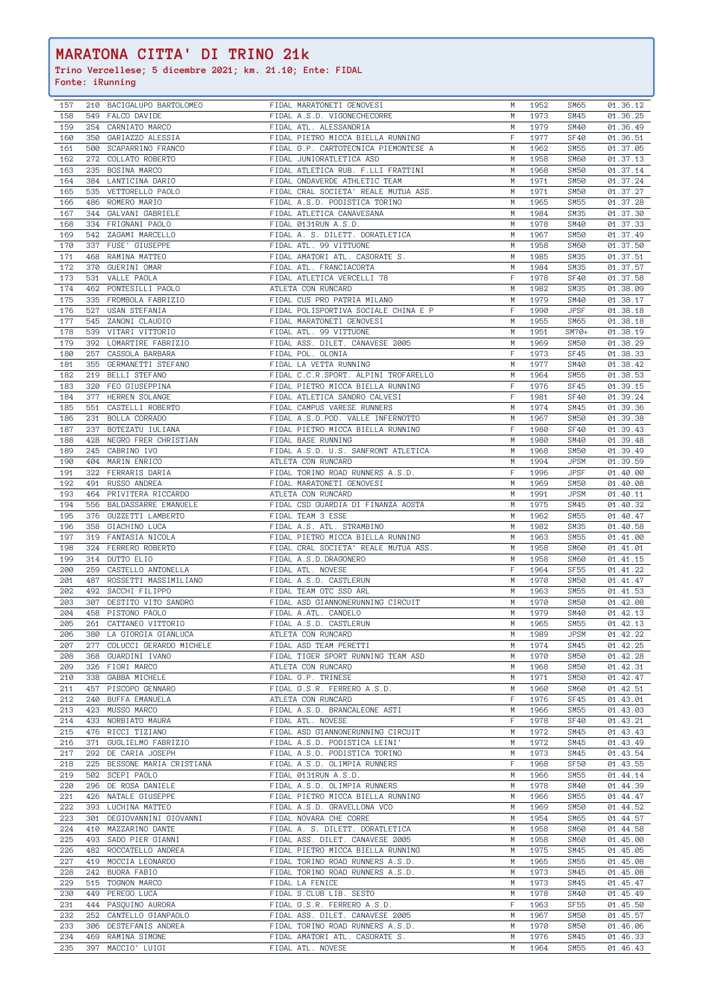| 157        |     | 210 BACIGALUPO BARTOLOMEO          | FIDAL MARATONETI GENOVESI                           | M      | 1952         | SM65             | 01.36.12             |
|------------|-----|------------------------------------|-----------------------------------------------------|--------|--------------|------------------|----------------------|
| 158        |     | 549 FALCO DAVIDE                   | FIDAL A.S.D. VIGONECHECORRE                         | M      | 1973         | SM45             | 01.36.25             |
| 159        |     | 254 CARNIATO MARCO                 | FIDAL ATL. ALESSANDRIA                              | M      | 1979         | <b>SM40</b>      | 01.36.49             |
| 160        |     | 350 GARIAZZO ALESSIA               | FIDAL PIETRO MICCA BIELLA RUNNING                   | F      | 1977         | <b>SF40</b>      | 01.36.51             |
|            |     |                                    |                                                     |        |              |                  |                      |
| 161        |     | 500 SCAPARRINO FRANCO              | FIDAL G.P. CARTOTECNICA PIEMONTESE A                | M      | 1962         | SM55             | 01.37.05             |
| 162        |     | 272 COLLATO ROBERTO                | FIDAL JUNIORATLETICA ASD                            | M      | 1958         | SM60             | 01.37.13             |
| 163        | 235 | BOSINA MARCO                       | FIDAL ATLETICA RUB. F.LLI FRATTINI                  | M      | 1968         | <b>SM50</b>      | 01.37.14             |
| 164        |     | 384 LANTICINA DARIO                | FIDAL ONDAVERDE ATHLETIC TEAM                       | M      | 1971         | <b>SM50</b>      | 01.37.24             |
| 165        |     | 535 VETTORELLO PAOLO               | FIDAL CRAL SOCIETA' REALE MUTUA ASS.                | M      | 1971         | <b>SM50</b>      | 01.37.27             |
|            |     |                                    | FIDAL A.S.D. PODISTICA TORINO                       |        |              |                  |                      |
| 166        |     | 486 ROMERO MARIO                   |                                                     | M      | 1965         | <b>SM55</b>      | 01.37.28             |
| 167        |     | 344 GALVANI GABRIELE               | FIDAL ATLETICA CANAVESANA                           | M      | 1984         | <b>SM35</b>      | 01.37.30             |
| 168        |     | 334 FRIGNANI PAOLO                 | FIDAL 0131RUN A.S.D.                                | M      | 1978         | SM40             | 01.37.33             |
| 169        |     | 542 ZAGAMI MARCELLO                | FIDAL A. S. DILETT. DORATLETICA                     | M      | 1967         | <b>SM50</b>      | 01.37.49             |
|            |     |                                    |                                                     |        |              |                  |                      |
| 170        |     | 337 FUSE' GIUSEPPE                 | FIDAL ATL. 99 VITTUONE                              | M      | 1958         | <b>SM60</b>      | 01.37.50             |
| 171        |     | 468 RAMINA MATTEO                  | FIDAL AMATORI ATL. CASORATE S.                      | M      | 1985         | SM35             | 01.37.51             |
| 172        |     | 370 GUERINI OMAR                   | FIDAL ATL. FRANCIACORTA                             | M      | 1984         | <b>SM35</b>      | 01.37.57             |
| 173        |     | 531 VALLE PAOLA                    | FIDAL ATLETICA VERCELLI 78                          | F      | 1978         | SF40             | 01.37.58             |
|            |     |                                    |                                                     |        |              |                  |                      |
| 174        | 462 | PONTESILLI PAOLO                   | ATLETA CON RUNCARD                                  | M      | 1982         | <b>SM35</b>      | 01.38.09             |
| 175        | 335 | FROMBOLA FABRIZIO                  | FIDAL CUS PRO PATRIA MILANO                         | M      | 1979         | <b>SM40</b>      | 01.38.17             |
| 176        | 527 | USAN STEFANIA                      | FIDAL POLISPORTIVA SOCIALE CHINA E P                | F      | 1990         | <b>JPSF</b>      | 01.38.18             |
| 177        |     | 545 ZANONI CLAUDIO                 | FIDAL MARATONETI GENOVESI                           | M      | 1955         | SM65             | 01.38.18             |
|            |     |                                    |                                                     |        |              |                  |                      |
| 178        | 539 | VITARI VITTORIO                    | FIDAL ATL. 99 VITTUONE                              | M      | 1951         | $SM70+$          | 01.38.19             |
| 179        |     | 392 LOMARTIRE FABRIZIO             | FIDAL ASS. DILET. CANAVESE 2005                     | M      | 1969         | <b>SM50</b>      | 01.38.29             |
| 180        |     | 257 CASSOLA BARBARA                | FIDAL POL. OLONIA                                   | F      | 1973         | SF45             | 01.38.33             |
| 181        |     | 355 GERMANETTI STEFANO             | FIDAL LA VETTA RUNNING                              | M      | 1977         | <b>SM40</b>      | 01.38.42             |
|            |     |                                    |                                                     |        |              |                  |                      |
| 182        | 219 | BELLI STEFANO                      | FIDAL C.C.R.SPORT. ALPINI TROFARELLO                | M      | 1964         | <b>SM55</b>      | 01.38.53             |
| 183        |     | 320 FEO GIUSEPPINA                 | FIDAL PIETRO MICCA BIELLA RUNNING                   | F      | 1976         | SF45             | 01.39.15             |
| 184        | 377 | HERREN SOLANGE                     | FIDAL ATLETICA SANDRO CALVESI                       | F      | 1981         | SF40             | 01.39.24             |
|            |     |                                    |                                                     |        | 1974         |                  |                      |
| 185        |     | 551 CASTELLI ROBERTO               | FIDAL CAMPUS VARESE RUNNERS                         | M      |              | SM45             | 01.39.36             |
| 186        |     | 231 BOLLA CORRADO                  | FIDAL A.S.D.POD. VALLE INFERNOTTO                   | M      | 1967         | <b>SM50</b>      | 01.39.38             |
| 187        | 237 | BOTEZATU IULIANA                   | FIDAL PIETRO MICCA BIELLA RUNNING                   | F      | 1980         | SF40             | 01.39.43             |
| 188        | 428 | NEGRO FRER CHRISTIAN               | FIDAL BASE RUNNING                                  | M      | 1980         | <b>SM40</b>      | 01.39.48             |
|            |     |                                    |                                                     |        |              |                  |                      |
| 189        |     | 245 CABRINO IVO                    | FIDAL A.S.D. U.S. SANFRONT ATLETICA                 | M      | 1968         | <b>SM50</b>      | 01.39.49             |
| 190        |     | 404 MARIN ENRICO                   | ATLETA CON RUNCARD                                  | M      | 1994         | <b>JPSM</b>      | 01.39.59             |
| 191        |     | 322 FERRARIS DARIA                 | FIDAL TORINO ROAD RUNNERS A.S.D.                    | $F -$  | 1996         | <b>JPSF</b>      | 01.40.00             |
| 192        |     | 491 RUSSO ANDREA                   | FIDAL MARATONETI GENOVESI                           | M      | 1969         | <b>SM50</b>      | 01.40.08             |
|            |     |                                    |                                                     |        |              |                  |                      |
| 193        |     | 464 PRIVITERA RICCARDO             | ATLETA CON RUNCARD                                  | M      | 1991         | <b>JPSM</b>      | 01.40.11             |
| 194        | 556 | BALDASSARRE EMANUELE               | FIDAL CSD GUARDIA DI FINANZA AOSTA                  | M      | 1975         | SM45             | 01.40.32             |
| 195        |     | 376 GUZZETTI LAMBERTO              | FIDAL TEAM 3 ESSE                                   | M      | 1962         | <b>SM55</b>      | 01.40.47             |
| 196        |     | 358 GIACHINO LUCA                  | FIDAL A.S. ATL. STRAMBINO                           | M      | 1982         | <b>SM35</b>      | 01.40.58             |
|            |     |                                    |                                                     |        |              |                  |                      |
| 197        |     | 319 FANTASIA NICOLA                | FIDAL PIETRO MICCA BIELLA RUNNING                   | M      | 1963         | SM55             | 01.41.00             |
| 198        |     | 324 FERRERO ROBERTO                | FIDAL CRAL SOCIETA' REALE MUTUA ASS.                | M      | 1958         | SM60             | 01.41.01             |
| 199        |     | 314 DUTTO ELIO                     | FIDAL A.S.D.DRAGONERO                               | M      | 1958         | SM60             | 01.41.15             |
| 200        |     | 259 CASTELLO ANTONELLA             | FIDAL ATL. NOVESE                                   | F      | 1964         | SF <sub>55</sub> | 01.41.22             |
|            |     |                                    |                                                     |        |              |                  |                      |
| 201        | 487 | ROSSETTI MASSIMILIANO              | FIDAL A.S.D. CASTLERUN                              | M      | 1970         | SM50             | 01.41.47             |
| 202        |     | 492 SACCHI FILIPPO                 | FIDAL TEAM OTC SSD ARL                              | M      | 1963         | SM55             | 01.41.53             |
|            |     | DESTITO VITO SANDRO                |                                                     |        |              | <b>SM50</b>      | 01.42.08             |
|            | 307 |                                    |                                                     | M      |              |                  |                      |
| 203        |     |                                    | FIDAL ASD GIANNONERUNNING CIRCUIT                   |        | 1970         |                  |                      |
| 204        | 458 | PISTONO PAOLO                      | FIDAL A.ATL. CANDELO                                | M      | 1979         | <b>SM40</b>      | 01.42.13             |
| 205        |     | 261 CATTANEO VITTORIO              | FIDAL A.S.D. CASTLERUN                              | M      | 1965         | <b>SM55</b>      | 01.42.13             |
| 206        | 380 | LA GIORGIA GIANLUCA                | ATLETA CON RUNCARD                                  | M      | 1989         | <b>JPSM</b>      | 01.42.22             |
| 207        | 277 | COLUCCI GERARDO MICHELE            | FIDAL ASD TEAM PERETTI                              | M      | 1974         | SM45             | 01.42.25             |
|            |     |                                    |                                                     |        |              |                  |                      |
| 208        | 368 | GUARDINI IVANO                     | FIDAL TIGER SPORT RUNNING TEAM ASD                  | M      | 1970         | SM50             | 01.42.28             |
| 209        | 326 | FIORI MARCO                        | ATLETA CON RUNCARD                                  | M      | 1968         | <b>SM50</b>      | 01.42.31             |
| 210        |     | 338 GABBA MICHELE                  | FIDAL G.P. TRINESE                                  | M      | 1971         | SM50             | 01.42.47             |
| 211        | 457 | PISCOPO GENNARO                    | FIDAL G.S.R. FERRERO A.S.D.                         | M      | 1960         | SM60             | 01.42.51             |
| 212        |     | 240 BUFFA EMANUELA                 | ATLETA CON RUNCARD                                  | F      | 1976         | SF45             |                      |
|            |     |                                    |                                                     |        |              |                  | 01.43.01             |
| 213        | 423 | MUSSO MARCO                        | FIDAL A.S.D. BRANCALEONE ASTI                       | M      | 1966         | SM55             | 01.43.03             |
| 214        | 433 | NORBIATO MAURA                     | FIDAL ATL. NOVESE                                   | F      | 1978         | SF40             | 01.43.21             |
| 215        | 476 | RICCI TIZIANO                      | FIDAL ASD GIANNONERUNNING CIRCUIT                   | M      | 1972         | SM45             | 01.43.43             |
|            | 371 | GUGLIELMO FABRIZIO                 | FIDAL A.S.D. PODISTICA LEINI'                       | M      | 1972         | SM45             |                      |
| 216        |     |                                    |                                                     |        |              |                  | 01.43.49             |
| 217        | 292 | DE CARIA JOSEPH                    | FIDAL A.S.D. PODISTICA TORINO                       | M      | 1973         | SM45             | 01.43.54             |
| 218        | 225 | BESSONE MARIA CRISTIANA            | FIDAL A.S.D. OLIMPIA RUNNERS                        | F      | 1968         | <b>SF50</b>      | 01.43.55             |
| 219        |     | 502 SCEPI PAOLO                    | FIDAL 0131RUN A.S.D.                                | M      | 1966         | SM55             | 01.44.14             |
| 220        | 296 | DE ROSA DANIELE                    | FIDAL A.S.D. OLIMPIA RUNNERS                        | M      | 1978         | <b>SM40</b>      |                      |
|            |     |                                    |                                                     |        |              |                  | 01.44.39             |
| 221        |     | 426 NATALE GIUSEPPE                | FIDAL PIETRO MICCA BIELLA RUNNING                   | M      | 1966         | <b>SM55</b>      | 01.44.47             |
| 222        |     | 393 LUCHINA MATTEO                 | FIDAL A.S.D. GRAVELLONA VCO                         | M      | 1969         | <b>SM50</b>      | 01.44.52             |
| 223        |     | 301 DEGIOVANNINI GIOVANNI          | FIDAL NOVARA CHE CORRE                              | M      | 1954         | SM65             | 01.44.57             |
| 224        |     | 410 MAZZARINO DANTE                | FIDAL A. S. DILETT. DORATLETICA                     | M      | 1958         | SM60             | 01.44.58             |
|            |     |                                    |                                                     |        |              |                  |                      |
| 225        |     | 493 SADO PIER GIANNI               | FIDAL ASS. DILET. CANAVESE 2005                     | M      | 1958         | SM60             | 01.45.00             |
| 226        | 482 | ROCCATELLO ANDREA                  | FIDAL PIETRO MICCA BIELLA RUNNING                   | M      | 1975         | SM45             | 01.45.05             |
| 227        | 419 | MOCCIA LEONARDO                    | FIDAL TORINO ROAD RUNNERS A.S.D.                    | M      | 1965         | <b>SM55</b>      | 01.45.08             |
|            | 242 |                                    |                                                     | M      |              |                  |                      |
| 228        |     | BUORA FABIO                        | FIDAL TORINO ROAD RUNNERS A.S.D.                    |        | 1973         | <b>SM45</b>      | 01.45.08             |
| 229        |     | 515 TOGNON MARCO                   | FIDAL LA FENICE                                     | M      | 1973         | SM45             | 01.45.47             |
| 230        | 449 | PEREGO LUCA                        | FIDAL S.CLUB LIB. SESTO                             | M      | 1978         | <b>SM40</b>      | 01.45.49             |
| 231        | 444 | PASQUINO AURORA                    | FIDAL G.S.R. FERRERO A.S.D.                         | F      | 1963         | <b>SF55</b>      | 01.45.50             |
| 232        | 252 | CANTELLO GIANPAOLO                 | FIDAL ASS. DILET. CANAVESE 2005                     | M      | 1967         | <b>SM50</b>      | 01.45.57             |
|            |     |                                    |                                                     |        |              |                  |                      |
| 233        | 306 | DESTEFANIS ANDREA                  | FIDAL TORINO ROAD RUNNERS A.S.D.                    | M      | 1970         | <b>SM50</b>      | 01.46.06             |
| 234<br>235 | 469 | RAMINA SIMONE<br>397 MACCIO' LUIGI | FIDAL AMATORI ATL. CASORATE S.<br>FIDAL ATL. NOVESE | M<br>M | 1976<br>1964 | SM45<br>SM55     | 01.46.33<br>01.46.43 |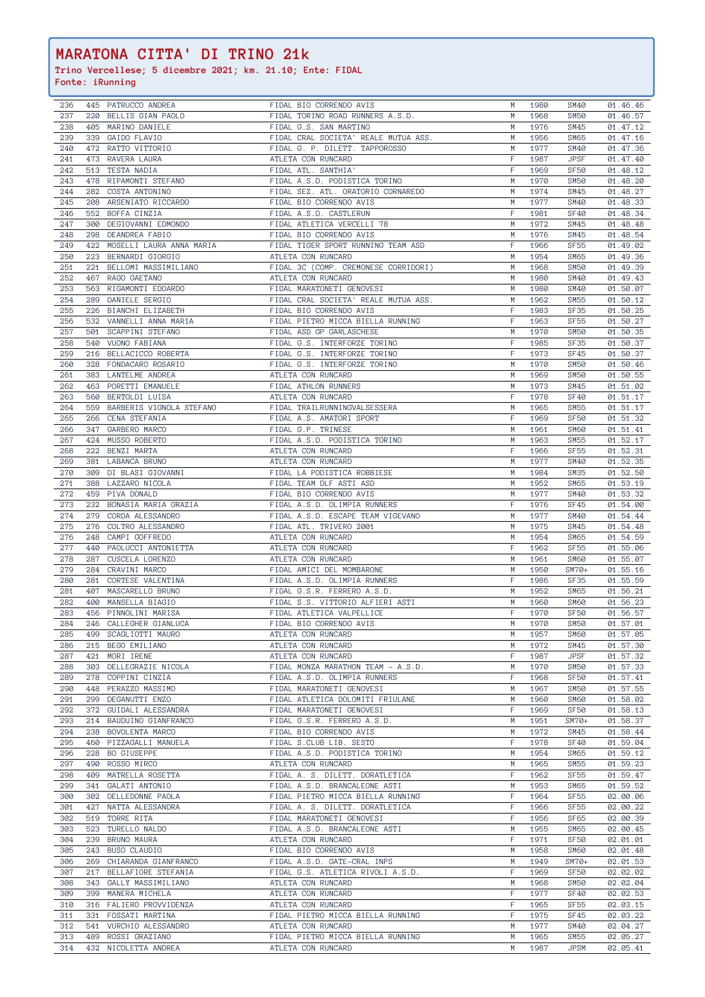| 236 | 445 | PATRUCCO ANDREA          | FIDAL BIO CORRENDO AVIS              | M | 1980   | SM40             | 01.46.46 |
|-----|-----|--------------------------|--------------------------------------|---|--------|------------------|----------|
| 237 |     | 220 BELLIS GIAN PAOLO    | FIDAL TORINO ROAD RUNNERS A.S.D.     | M | 1968   | SM50             | 01.46.57 |
| 238 | 405 | MARINO DANIELE           | FIDAL G.S. SAN MARTINO               | M | 1976   | SM45             | 01.47.12 |
| 239 |     | 339 GAIDO FLAVIO         | FIDAL CRAL SOCIETA' REALE MUTUA ASS. | M | 1956   | <b>SM65</b>      | 01.47.16 |
| 240 |     | 472 RATTO VITTORIO       | FIDAL G. P. DILETT. TAPPOROSSO       | M | 1977   | <b>SM40</b>      | 01.47.36 |
| 241 |     | 473 RAVERA LAURA         | ATLETA CON RUNCARD                   | F | 1987   | <b>JPSF</b>      | 01.47.40 |
|     |     | 513 TESTA NADIA          |                                      | F | 1969   | <b>SF50</b>      |          |
| 242 |     |                          | FIDAL ATL. SANTHIA'                  |   |        |                  | 01.48.12 |
| 243 | 478 | RIPAMONTI STEFANO        | FIDAL A.S.D. PODISTICA TORINO        | M | 1970   | <b>SM50</b>      | 01.48.20 |
| 244 |     | 282 COSTA ANTONINO       | FIDAL SEZ. ATL. ORATORIO CORNAREDO   | M | 1974   | SM45             | 01.48.27 |
| 245 |     | 208 ARSENIATO RICCARDO   | FIDAL BIO CORRENDO AVIS              | M | 1977   | <b>SM40</b>      | 01.48.33 |
| 246 |     | 552 BOFFA CINZIA         | FIDAL A.S.D. CASTLERUN               | F | 1981   | SF40             | 01.48.34 |
| 247 |     | 300 DEGIOVANNI EDMONDO   | FIDAL ATLETICA VERCELLI 78           | M | 1972   | SM45             | 01.48.48 |
| 248 |     | 298 DEANDREA FABIO       | FIDAL BIO CORRENDO AVIS              | M | 1976   | SM45             | 01.48.54 |
|     |     |                          |                                      |   |        |                  |          |
| 249 | 422 | MOSELLI LAURA ANNA MARIA | FIDAL TIGER SPORT RUNNING TEAM ASD   | F | 1966   | SF <sub>55</sub> | 01.49.02 |
| 250 |     | 223 BERNARDI GIORGIO     | ATLETA CON RUNCARD                   | M | 1954   | SM65             | 01.49.36 |
| 251 | 221 | BELLOMI MASSIMILIANO     | FIDAL 3C (COMP. CREMONESE CORRIDORI) | M | 1968   | <b>SM50</b>      | 01.49.39 |
| 252 | 467 | RAGO GAETANO             | ATLETA CON RUNCARD                   | M | 1980   | <b>SM40</b>      | 01.49.43 |
| 253 | 563 | RIGAMONTI EDOARDO        | FIDAL MARATONETI GENOVESI            | M | 1980   | <b>SM40</b>      | 01.50.07 |
| 254 | 289 | DANIELE SERGIO           | FIDAL CRAL SOCIETA' REALE MUTUA ASS. | M | 1962   | SM55             | 01.50.12 |
| 255 | 226 | BIANCHI ELIZABETH        | FIDAL BIO CORRENDO AVIS              |   | 1983   | <b>SF35</b>      | 01.50.25 |
|     |     |                          |                                      |   |        |                  |          |
| 256 |     | 532 VANNELLI ANNA MARIA  | FIDAL PIETRO MICCA BIELLA RUNNING    | F | 1963   | <b>SF55</b>      | 01.50.27 |
| 257 | 501 | SCAPPINI STEFANO         | FIDAL ASD GP GARLASCHESE             | M | 1970   | <b>SM50</b>      | 01.50.35 |
| 258 |     | 540 VUONO FABIANA        | FIDAL G.S. INTERFORZE TORINO         | F | 1985   | <b>SF35</b>      | 01.50.37 |
| 259 |     | 216 BELLACICCO ROBERTA   | FIDAL G.S. INTERFORZE TORINO         | F | 1973   | SF45             | 01.50.37 |
| 260 | 328 | FONDACARO ROSARIO        | FIDAL G.S. INTERFORZE TORINO         | M | 1970   | <b>SM50</b>      | 01.50.46 |
| 261 |     | 383 LANTELME ANDREA      | ATLETA CON RUNCARD                   | M | 1969   | <b>SM50</b>      | 01.50.55 |
| 262 |     | 463 PORETTI EMANUELE     | FIDAL ATHLON RUNNERS                 | M | 1973   | SM45             | 01.51.02 |
|     |     |                          |                                      |   |        |                  |          |
| 263 |     | 560 BERTOLDI LUISA       | ATLETA CON RUNCARD                   | F | 1978   | SF40             | 01.51.17 |
| 264 | 559 | BARBERIS VIGNOLA STEFANO | FIDAL TRAILRUNNINGVALSESSERA         | M | 1965   | SM55             | 01.51.17 |
| 265 |     | 266 CENA STEFANIA        | FIDAL A.S. AMATORI SPORT             | F | 1969   | <b>SF50</b>      | 01.51.32 |
| 266 |     | 347 GARBERO MARCO        | FIDAL G.P. TRINESE                   | M | 1961   | SM60             | 01.51.41 |
| 267 |     | 424 MUSSO ROBERTO        | FIDAL A.S.D. PODISTICA TORINO        | M | 1963   | SM55             | 01.52.17 |
| 268 |     | 222 BENZI MARTA          | ATLETA CON RUNCARD                   | F | 1966   | <b>SF55</b>      | 01.52.31 |
| 269 |     | 381 LABANCA BRUNO        | ATLETA CON RUNCARD                   | M | 1977   | <b>SM40</b>      | 01.52.35 |
|     |     |                          |                                      |   |        |                  |          |
| 270 |     | 309 DI BLASI GIOVANNI    | FIDAL LA PODISTICA ROBBIESE          |   | M 1984 | <b>SM35</b>      | 01.52.50 |
| 271 | 388 | LAZZARO NICOLA           | FIDAL TEAM DLF ASTI ASD              | M | 1952   | SM65             | 01.53.19 |
| 272 | 459 | PIVA DONALD              | FIDAL BIO CORRENDO AVIS              | M | 1977   | <b>SM40</b>      | 01.53.32 |
| 273 | 232 | BONASIA MARIA GRAZIA     | FIDAL A.S.D. OLIMPIA RUNNERS         | F | 1976   | SF45             | 01.54.00 |
| 274 | 279 | CORDA ALESSANDRO         | FIDAL A.S.D. ESCAPE TEAM VIGEVANO    | M | 1977   | <b>SM40</b>      | 01.54.44 |
| 275 | 276 | COLTRO ALESSANDRO        | FIDAL ATL. TRIVERO 2001              | M | 1975   | SM45             | 01.54.48 |
| 276 | 248 | CAMPI GOFFREDO           | ATLETA CON RUNCARD                   | M | 1954   | SM65             | 01.54.59 |
|     |     |                          |                                      | F |        |                  |          |
| 277 | 440 | PAOLUCCI ANTONIETTA      | ATLETA CON RUNCARD                   |   | 1962   | <b>SF55</b>      | 01.55.06 |
| 278 | 287 | CUSCELA LORENZO          | ATLETA CON RUNCARD                   | M | 1961   | <b>SM60</b>      | 01.55.07 |
| 279 |     | 284 CRAVINI MARCO        | FIDAL AMICI DEL MOMBARONE            | M | 1950   | $SM70+$          | 01.55.16 |
| 280 | 281 | CORTESE VALENTINA        | FIDAL A.S.D. OLIMPIA RUNNERS         | F | 1986   | <b>SF35</b>      | 01.55.59 |
| 281 | 407 | MASCARELLO BRUNO         | FIDAL G.S.R. FERRERO A.S.D.          | M | 1952   | SM65             | 01.56.21 |
| 282 | 400 | MANSELLA BIAGIO          | FIDAL S.S. VITTORIO ALFIERI ASTI     | M | 1960   | SM60             | 01.56.23 |
| 283 | 456 | PINNOLINI MARISA         | FIDAL ATLETICA VALPELLICE            | F | 1970   | <b>SF50</b>      | 01.56.57 |
| 284 | 246 | CALLEGHER GIANLUCA       | FIDAL BIO CORRENDO AVIS              | M | 1970   | SM50             | 01.57.01 |
|     |     |                          |                                      |   |        |                  |          |
| 285 | 499 | SCAGLIOTTI MAURO         | ATLETA CON RUNCARD                   | M | 1957   | <b>SM60</b>      | 01.57.05 |
| 286 | 215 | BEGO EMILIANO            | ATLETA CON RUNCARD                   | M | 1972   | SM45             | 01.57.30 |
| 287 | 421 | MORI IRENE               | ATLETA CON RUNCARD                   | F | 1987   | <b>JPSF</b>      | 01.57.32 |
| 288 | 303 | DELLEGRAZIE NICOLA       | FIDAL MONZA MARATHON TEAM - A.S.D.   | M | 1970   | <b>SM50</b>      | 01.57.33 |
| 289 | 278 | COPPINI CINZIA           | FIDAL A.S.D. OLIMPIA RUNNERS         | F | 1968   | <b>SF50</b>      | 01.57.41 |
| 290 | 448 | PERAZZO MASSIMO          | FIDAL MARATONETI GENOVESI            | M | 1967   | <b>SM50</b>      | 01.57.55 |
| 291 | 299 | DEGANUTTI ENZO           | FIDAL ATLETICA DOLOMITI FRIULANE     | M | 1960   | <b>SM60</b>      | 01.58.02 |
| 292 | 372 | GUIDALI ALESSANDRA       | FIDAL MARATONETI GENOVESI            | F | 1969   | <b>SF50</b>      | 01.58.13 |
|     |     |                          |                                      |   |        |                  |          |
| 293 | 214 | BAUDUINO GIANFRANCO      | FIDAL G.S.R. FERRERO A.S.D.          | M | 1951   | $SM7O+$          | 01.58.37 |
| 294 | 238 | BOVOLENTA MARCO          | FIDAL BIO CORRENDO AVIS              | M | 1972   | SM45             | 01.58.44 |
| 295 | 460 | PIZZAGALLI MANUELA       | FIDAL S.CLUB LIB. SESTO              | F | 1978   | SF40             | 01.59.04 |
| 296 | 228 | BO GIUSEPPE              | FIDAL A.S.D. PODISTICA TORINO        | M | 1954   | SM65             | 01.59.12 |
| 297 | 490 | ROSSO MIRCO              | ATLETA CON RUNCARD                   | M | 1965   | SM55             | 01.59.23 |
| 298 | 409 |                          |                                      |   |        |                  | 01.59.47 |
| 299 |     |                          |                                      | F |        |                  |          |
| 300 |     | MATRELLA ROSETTA         | FIDAL A. S. DILETT. DORATLETICA      |   | 1962   | SF <sub>55</sub> |          |
|     |     | 341 GALATI ANTONIO       | FIDAL A.S.D. BRANCALEONE ASTI        | M | 1953   | SM65             | 01.59.52 |
| 301 | 302 | DELLEDONNE PAOLA         | FIDAL PIETRO MICCA BIELLA RUNNING    | F | 1964   | <b>SF55</b>      | 02.00.06 |
|     | 427 | NATTA ALESSANDRA         | FIDAL A. S. DILETT. DORATLETICA      | F | 1966   | <b>SF55</b>      | 02.00.22 |
| 302 |     | 519 TORRE RITA           | FIDAL MARATONETI GENOVESI            | F | 1956   | SF <sub>65</sub> | 02.00.39 |
| 303 |     | 523 TURELLO NALDO        | FIDAL A.S.D. BRANCALEONE ASTI        | M | 1955   | SM65             | 02.00.45 |
| 304 |     | 239 BRUNO MAURA          | ATLETA CON RUNCARD                   | F | 1971   | <b>SF50</b>      | 02.01.01 |
| 305 | 243 | BUSO CLAUDIO             | FIDAL BIO CORRENDO AVIS              | M | 1958   | SM60             | 02.01.48 |
| 306 | 269 | CHIARANDA GIANFRANCO     | FIDAL A.S.D. GATE-CRAL INPS          | M | 1949   | $SM70+$          | 02.01.53 |
|     |     |                          |                                      |   |        |                  |          |
| 307 | 217 | BELLAFIORE STEFANIA      | FIDAL G.S. ATLETICA RIVOLI A.S.D.    | F | 1969   | <b>SF50</b>      | 02.02.02 |
| 308 | 343 | GALLY MASSIMILIANO       | ATLETA CON RUNCARD                   | M | 1968   | <b>SM50</b>      | 02.02.04 |
| 309 | 399 | MANERA MICHELA           | ATLETA CON RUNCARD                   | F | 1977   | <b>SF40</b>      | 02.02.53 |
| 310 | 316 | FALIERO PROVVIDENZA      | ATLETA CON RUNCARD                   | F | 1965   | SF <sub>55</sub> | 02.03.15 |
| 311 | 331 | FOSSATI MARTINA          | FIDAL PIETRO MICCA BIELLA RUNNING    | F | 1975   | SF45             | 02.03.22 |
| 312 | 541 | VURCHIO ALESSANDRO       | ATLETA CON RUNCARD                   | M | 1977   | <b>SM40</b>      | 02.04.27 |
| 313 | 489 | ROSSI GRAZIANO           | FIDAL PIETRO MICCA BIELLA RUNNING    | M | 1965   | <b>SM55</b>      | 02.05.27 |
| 314 |     | 432 NICOLETTA ANDREA     | ATLETA CON RUNCARD                   | M | 1987   | <b>JPSM</b>      | 02.05.41 |